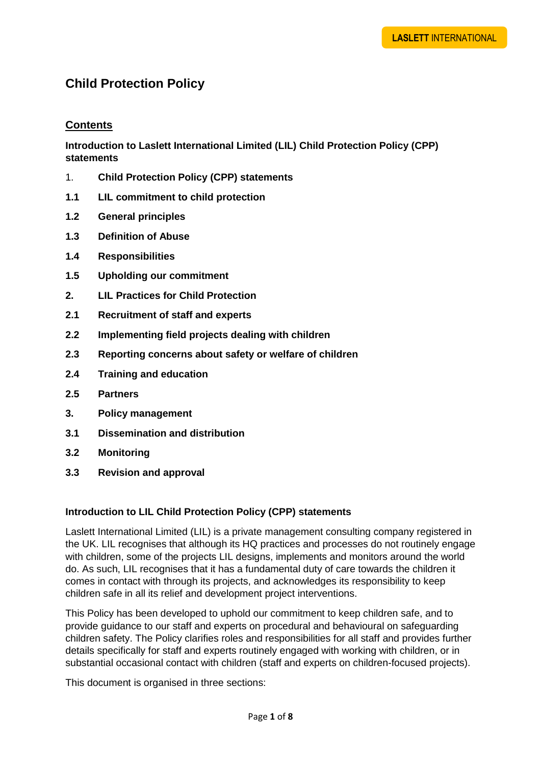# **Child Protection Policy**

# **Contents**

**Introduction to Laslett International Limited (LIL) Child Protection Policy (CPP) statements**

- 1. **Child Protection Policy (CPP) statements**
- **1.1 LIL commitment to child protection**
- **1.2 General principles**
- **1.3 Definition of Abuse**
- **1.4 Responsibilities**
- **1.5 Upholding our commitment**
- **2. LIL Practices for Child Protection**
- **2.1 Recruitment of staff and experts**
- **2.2 Implementing field projects dealing with children**
- **2.3 Reporting concerns about safety or welfare of children**
- **2.4 Training and education**
- **2.5 Partners**
- **3. Policy management**
- **3.1 Dissemination and distribution**
- **3.2 Monitoring**
- **3.3 Revision and approval**

## **Introduction to LIL Child Protection Policy (CPP) statements**

Laslett International Limited (LIL) is a private management consulting company registered in the UK. LIL recognises that although its HQ practices and processes do not routinely engage with children, some of the projects LIL designs, implements and monitors around the world do. As such, LIL recognises that it has a fundamental duty of care towards the children it comes in contact with through its projects, and acknowledges its responsibility to keep children safe in all its relief and development project interventions.

This Policy has been developed to uphold our commitment to keep children safe, and to provide guidance to our staff and experts on procedural and behavioural on safeguarding children safety. The Policy clarifies roles and responsibilities for all staff and provides further details specifically for staff and experts routinely engaged with working with children, or in substantial occasional contact with children (staff and experts on children-focused projects).

This document is organised in three sections: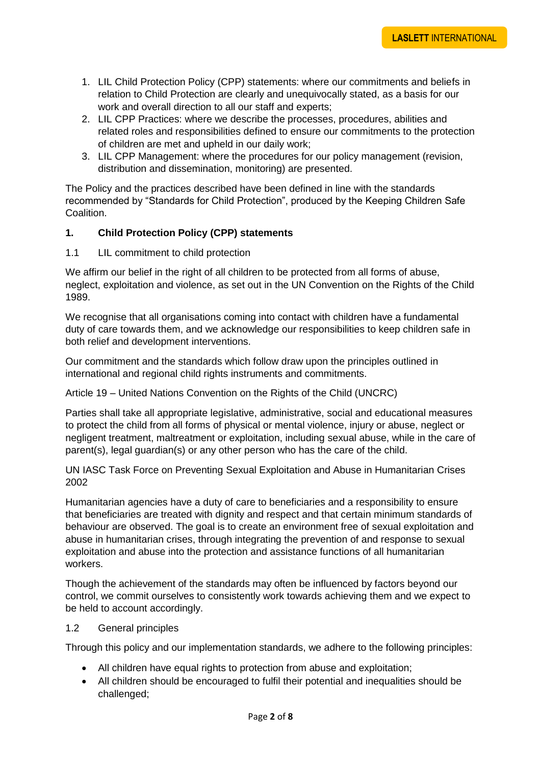- 1. LIL Child Protection Policy (CPP) statements: where our commitments and beliefs in relation to Child Protection are clearly and unequivocally stated, as a basis for our work and overall direction to all our staff and experts:
- 2. LIL CPP Practices: where we describe the processes, procedures, abilities and related roles and responsibilities defined to ensure our commitments to the protection of children are met and upheld in our daily work;
- 3. LIL CPP Management: where the procedures for our policy management (revision, distribution and dissemination, monitoring) are presented.

The Policy and the practices described have been defined in line with the standards recommended by "Standards for Child Protection", produced by the Keeping Children Safe Coalition.

## **1. Child Protection Policy (CPP) statements**

1.1 LIL commitment to child protection

We affirm our belief in the right of all children to be protected from all forms of abuse, neglect, exploitation and violence, as set out in the UN Convention on the Rights of the Child 1989.

We recognise that all organisations coming into contact with children have a fundamental duty of care towards them, and we acknowledge our responsibilities to keep children safe in both relief and development interventions.

Our commitment and the standards which follow draw upon the principles outlined in international and regional child rights instruments and commitments.

Article 19 – United Nations Convention on the Rights of the Child (UNCRC)

Parties shall take all appropriate legislative, administrative, social and educational measures to protect the child from all forms of physical or mental violence, injury or abuse, neglect or negligent treatment, maltreatment or exploitation, including sexual abuse, while in the care of parent(s), legal guardian(s) or any other person who has the care of the child.

UN IASC Task Force on Preventing Sexual Exploitation and Abuse in Humanitarian Crises 2002

Humanitarian agencies have a duty of care to beneficiaries and a responsibility to ensure that beneficiaries are treated with dignity and respect and that certain minimum standards of behaviour are observed. The goal is to create an environment free of sexual exploitation and abuse in humanitarian crises, through integrating the prevention of and response to sexual exploitation and abuse into the protection and assistance functions of all humanitarian workers.

Though the achievement of the standards may often be influenced by factors beyond our control, we commit ourselves to consistently work towards achieving them and we expect to be held to account accordingly.

## 1.2 General principles

Through this policy and our implementation standards, we adhere to the following principles:

- All children have equal rights to protection from abuse and exploitation;
- All children should be encouraged to fulfil their potential and inequalities should be challenged;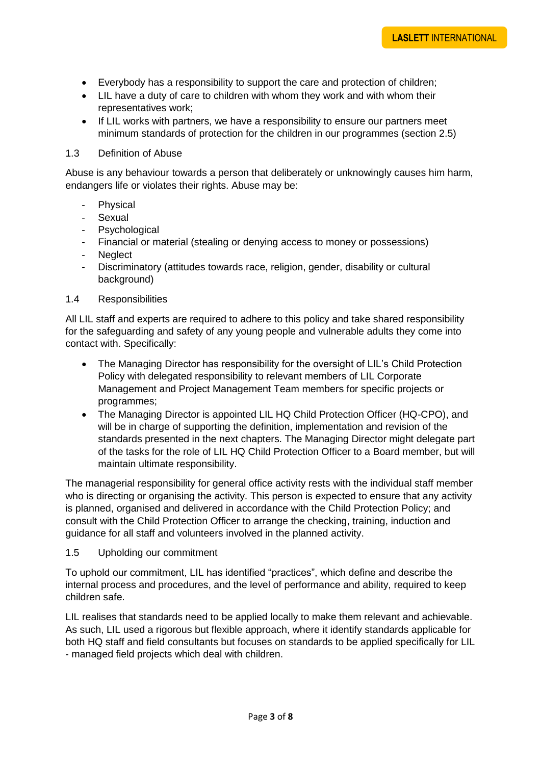- Everybody has a responsibility to support the care and protection of children;
- LIL have a duty of care to children with whom they work and with whom their representatives work;
- If LIL works with partners, we have a responsibility to ensure our partners meet minimum standards of protection for the children in our programmes (section 2.5)

#### 1.3 Definition of Abuse

Abuse is any behaviour towards a person that deliberately or unknowingly causes him harm, endangers life or violates their rights. Abuse may be:

- Physical
- Sexual
- Psychological
- Financial or material (stealing or denying access to money or possessions)
- **Neglect**
- Discriminatory (attitudes towards race, religion, gender, disability or cultural background)

## 1.4 Responsibilities

All LIL staff and experts are required to adhere to this policy and take shared responsibility for the safeguarding and safety of any young people and vulnerable adults they come into contact with. Specifically:

- The Managing Director has responsibility for the oversight of LIL's Child Protection Policy with delegated responsibility to relevant members of LIL Corporate Management and Project Management Team members for specific projects or programmes;
- The Managing Director is appointed LIL HQ Child Protection Officer (HQ-CPO), and will be in charge of supporting the definition, implementation and revision of the standards presented in the next chapters. The Managing Director might delegate part of the tasks for the role of LIL HQ Child Protection Officer to a Board member, but will maintain ultimate responsibility.

The managerial responsibility for general office activity rests with the individual staff member who is directing or organising the activity. This person is expected to ensure that any activity is planned, organised and delivered in accordance with the Child Protection Policy; and consult with the Child Protection Officer to arrange the checking, training, induction and guidance for all staff and volunteers involved in the planned activity.

## 1.5 Upholding our commitment

To uphold our commitment, LIL has identified "practices", which define and describe the internal process and procedures, and the level of performance and ability, required to keep children safe.

LIL realises that standards need to be applied locally to make them relevant and achievable. As such, LIL used a rigorous but flexible approach, where it identify standards applicable for both HQ staff and field consultants but focuses on standards to be applied specifically for LIL - managed field projects which deal with children.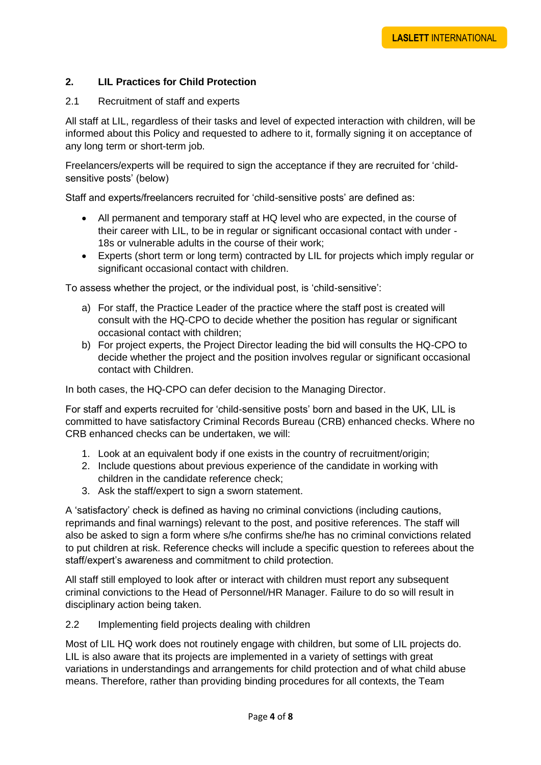# **2. LIL Practices for Child Protection**

## 2.1 Recruitment of staff and experts

All staff at LIL, regardless of their tasks and level of expected interaction with children, will be informed about this Policy and requested to adhere to it, formally signing it on acceptance of any long term or short-term job.

Freelancers/experts will be required to sign the acceptance if they are recruited for 'childsensitive posts' (below)

Staff and experts/freelancers recruited for 'child-sensitive posts' are defined as:

- All permanent and temporary staff at HQ level who are expected, in the course of their career with LIL, to be in regular or significant occasional contact with under - 18s or vulnerable adults in the course of their work;
- Experts (short term or long term) contracted by LIL for projects which imply regular or significant occasional contact with children.

To assess whether the project, or the individual post, is 'child-sensitive':

- a) For staff, the Practice Leader of the practice where the staff post is created will consult with the HQ-CPO to decide whether the position has regular or significant occasional contact with children;
- b) For project experts, the Project Director leading the bid will consults the HQ-CPO to decide whether the project and the position involves regular or significant occasional contact with Children.

In both cases, the HQ-CPO can defer decision to the Managing Director.

For staff and experts recruited for 'child-sensitive posts' born and based in the UK, LIL is committed to have satisfactory Criminal Records Bureau (CRB) enhanced checks. Where no CRB enhanced checks can be undertaken, we will:

- 1. Look at an equivalent body if one exists in the country of recruitment/origin;
- 2. Include questions about previous experience of the candidate in working with children in the candidate reference check;
- 3. Ask the staff/expert to sign a sworn statement.

A 'satisfactory' check is defined as having no criminal convictions (including cautions, reprimands and final warnings) relevant to the post, and positive references. The staff will also be asked to sign a form where s/he confirms she/he has no criminal convictions related to put children at risk. Reference checks will include a specific question to referees about the staff/expert's awareness and commitment to child protection.

All staff still employed to look after or interact with children must report any subsequent criminal convictions to the Head of Personnel/HR Manager. Failure to do so will result in disciplinary action being taken.

## 2.2 Implementing field projects dealing with children

Most of LIL HQ work does not routinely engage with children, but some of LIL projects do. LIL is also aware that its projects are implemented in a variety of settings with great variations in understandings and arrangements for child protection and of what child abuse means. Therefore, rather than providing binding procedures for all contexts, the Team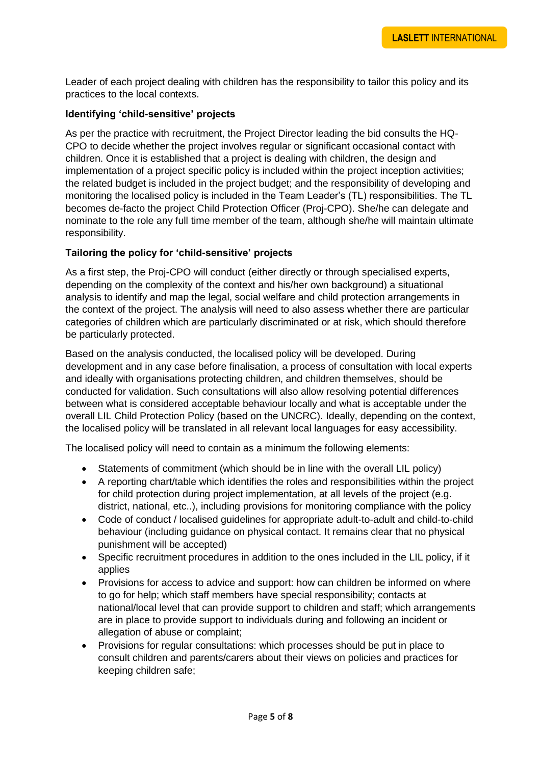Leader of each project dealing with children has the responsibility to tailor this policy and its practices to the local contexts.

## **Identifying 'child-sensitive' projects**

As per the practice with recruitment, the Project Director leading the bid consults the HQ-CPO to decide whether the project involves regular or significant occasional contact with children. Once it is established that a project is dealing with children, the design and implementation of a project specific policy is included within the project inception activities; the related budget is included in the project budget; and the responsibility of developing and monitoring the localised policy is included in the Team Leader's (TL) responsibilities. The TL becomes de-facto the project Child Protection Officer (Proj-CPO). She/he can delegate and nominate to the role any full time member of the team, although she/he will maintain ultimate responsibility.

## **Tailoring the policy for 'child-sensitive' projects**

As a first step, the Proj-CPO will conduct (either directly or through specialised experts, depending on the complexity of the context and his/her own background) a situational analysis to identify and map the legal, social welfare and child protection arrangements in the context of the project. The analysis will need to also assess whether there are particular categories of children which are particularly discriminated or at risk, which should therefore be particularly protected.

Based on the analysis conducted, the localised policy will be developed. During development and in any case before finalisation, a process of consultation with local experts and ideally with organisations protecting children, and children themselves, should be conducted for validation. Such consultations will also allow resolving potential differences between what is considered acceptable behaviour locally and what is acceptable under the overall LIL Child Protection Policy (based on the UNCRC). Ideally, depending on the context, the localised policy will be translated in all relevant local languages for easy accessibility.

The localised policy will need to contain as a minimum the following elements:

- Statements of commitment (which should be in line with the overall LIL policy)
- A reporting chart/table which identifies the roles and responsibilities within the project for child protection during project implementation, at all levels of the project (e.g. district, national, etc..), including provisions for monitoring compliance with the policy
- Code of conduct / localised guidelines for appropriate adult-to-adult and child-to-child behaviour (including guidance on physical contact. It remains clear that no physical punishment will be accepted)
- Specific recruitment procedures in addition to the ones included in the LIL policy, if it applies
- Provisions for access to advice and support: how can children be informed on where to go for help; which staff members have special responsibility; contacts at national/local level that can provide support to children and staff; which arrangements are in place to provide support to individuals during and following an incident or allegation of abuse or complaint;
- Provisions for regular consultations: which processes should be put in place to consult children and parents/carers about their views on policies and practices for keeping children safe;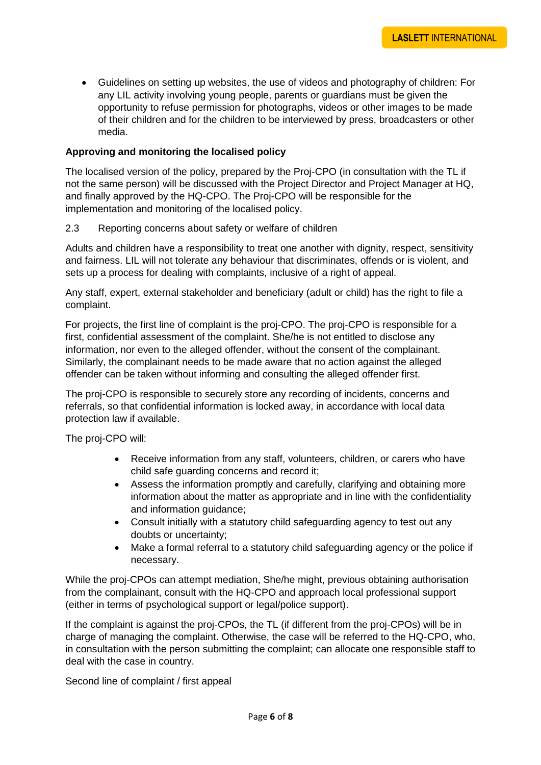• Guidelines on setting up websites, the use of videos and photography of children: For any LIL activity involving young people, parents or guardians must be given the opportunity to refuse permission for photographs, videos or other images to be made of their children and for the children to be interviewed by press, broadcasters or other media.

# **Approving and monitoring the localised policy**

The localised version of the policy, prepared by the Proj-CPO (in consultation with the TL if not the same person) will be discussed with the Project Director and Project Manager at HQ, and finally approved by the HQ-CPO. The Proj-CPO will be responsible for the implementation and monitoring of the localised policy.

## 2.3 Reporting concerns about safety or welfare of children

Adults and children have a responsibility to treat one another with dignity, respect, sensitivity and fairness. LIL will not tolerate any behaviour that discriminates, offends or is violent, and sets up a process for dealing with complaints, inclusive of a right of appeal.

Any staff, expert, external stakeholder and beneficiary (adult or child) has the right to file a complaint.

For projects, the first line of complaint is the proj-CPO. The proj-CPO is responsible for a first, confidential assessment of the complaint. She/he is not entitled to disclose any information, nor even to the alleged offender, without the consent of the complainant. Similarly, the complainant needs to be made aware that no action against the alleged offender can be taken without informing and consulting the alleged offender first.

The proj-CPO is responsible to securely store any recording of incidents, concerns and referrals, so that confidential information is locked away, in accordance with local data protection law if available.

The proj-CPO will:

- Receive information from any staff, volunteers, children, or carers who have child safe guarding concerns and record it;
- Assess the information promptly and carefully, clarifying and obtaining more information about the matter as appropriate and in line with the confidentiality and information guidance;
- Consult initially with a statutory child safeguarding agency to test out any doubts or uncertainty;
- Make a formal referral to a statutory child safeguarding agency or the police if necessary.

While the proj-CPOs can attempt mediation, She/he might, previous obtaining authorisation from the complainant, consult with the HQ-CPO and approach local professional support (either in terms of psychological support or legal/police support).

If the complaint is against the proj-CPOs, the TL (if different from the proj-CPOs) will be in charge of managing the complaint. Otherwise, the case will be referred to the HQ-CPO, who, in consultation with the person submitting the complaint; can allocate one responsible staff to deal with the case in country.

Second line of complaint / first appeal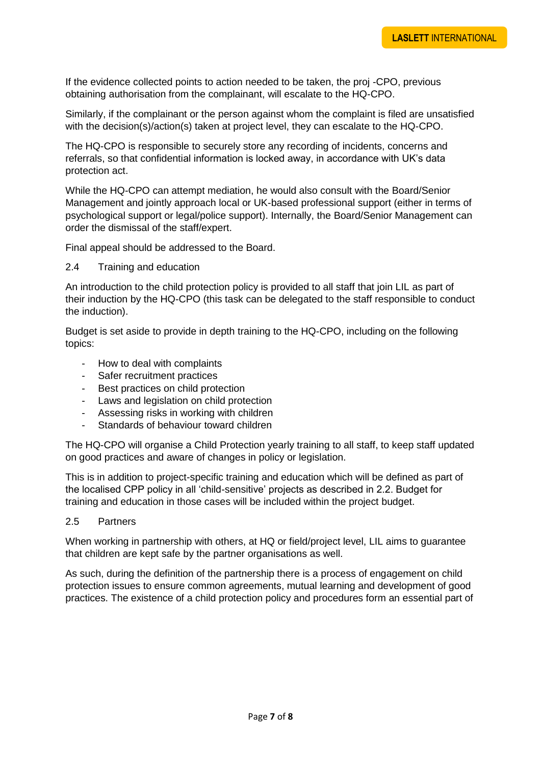If the evidence collected points to action needed to be taken, the proj -CPO, previous obtaining authorisation from the complainant, will escalate to the HQ-CPO.

Similarly, if the complainant or the person against whom the complaint is filed are unsatisfied with the decision(s)/action(s) taken at project level, they can escalate to the HQ-CPO.

The HQ-CPO is responsible to securely store any recording of incidents, concerns and referrals, so that confidential information is locked away, in accordance with UK's data protection act.

While the HQ-CPO can attempt mediation, he would also consult with the Board/Senior Management and jointly approach local or UK-based professional support (either in terms of psychological support or legal/police support). Internally, the Board/Senior Management can order the dismissal of the staff/expert.

Final appeal should be addressed to the Board.

2.4 Training and education

An introduction to the child protection policy is provided to all staff that join LIL as part of their induction by the HQ-CPO (this task can be delegated to the staff responsible to conduct the induction).

Budget is set aside to provide in depth training to the HQ-CPO, including on the following topics:

- How to deal with complaints
- Safer recruitment practices
- Best practices on child protection
- Laws and legislation on child protection
- Assessing risks in working with children
- Standards of behaviour toward children

The HQ-CPO will organise a Child Protection yearly training to all staff, to keep staff updated on good practices and aware of changes in policy or legislation.

This is in addition to project-specific training and education which will be defined as part of the localised CPP policy in all 'child-sensitive' projects as described in 2.2. Budget for training and education in those cases will be included within the project budget.

2.5 Partners

When working in partnership with others, at HQ or field/project level, LIL aims to guarantee that children are kept safe by the partner organisations as well.

As such, during the definition of the partnership there is a process of engagement on child protection issues to ensure common agreements, mutual learning and development of good practices. The existence of a child protection policy and procedures form an essential part of